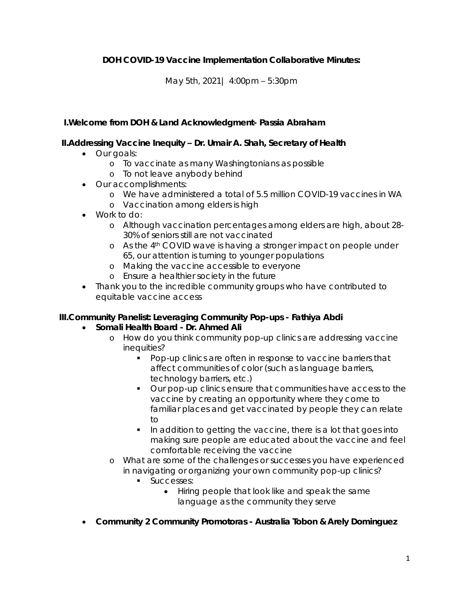**DOH COVID-19 Vaccine Implementation Collaborative Minutes:**

May 5th, 2021| 4:00pm – 5:30pm

**I.Welcome from DOH & Land Acknowledgment- Passia Abraham**

**II.Addressing Vaccine Inequity – Dr. Umair A. Shah, Secretary of Health**

- Our goals:
	- o To vaccinate as many Washingtonians as possible
	- o To not leave anybody behind
- Our accomplishments:
	- o We have administered a total of 5.5 million COVID-19 vaccines in WA
	- o Vaccination among elders is high
- Work to do:
	- o Although vaccination percentages among elders are high, about 28- 30% of seniors still are not vaccinated
	- o As the 4th COVID wave is having a stronger impact on people under 65, our attention is turning to younger populations
	- o Making the vaccine accessible to everyone
	- o Ensure a healthier society in the future
- Thank you to the incredible community groups who have contributed to equitable vaccine access

**III.Community Panelist: Leveraging Community Pop-ups - Fathiya Abdi**

- **Somali Health Board - Dr. Ahmed Ali**
	- o How do you think community pop-up clinics are addressing vaccine inequities?
		- **Pop-up clinics are often in response to vaccine barriers that** affect communities of color (such as language barriers, technology barriers, etc.)
		- Our pop-up clinics ensure that communities have access to the vaccine by creating an opportunity where they come to familiar places and get vaccinated by people they can relate  $t<sub>O</sub>$
		- In addition to getting the vaccine, there is a lot that goes into making sure people are educated about the vaccine and feel comfortable receiving the vaccine
	- o What are some of the challenges or successes you have experienced in navigating or organizing your own community pop-up clinics?
		- **Successes:** 
			- Hiring people that look like and speak the same language as the community they serve
- **Community 2 Community Promotoras - Australia Tobon & Arely Dominguez**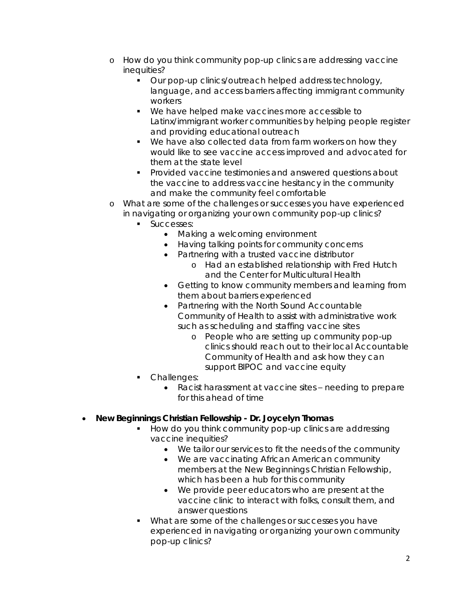- o How do you think community pop-up clinics are addressing vaccine inequities?
	- **Our pop-up clinics/outreach helped address technology,** language, and access barriers affecting immigrant community workers
	- We have helped make vaccines more accessible to Latinx/immigrant worker communities by helping people register and providing educational outreach
	- We have also collected data from farm workers on how they would like to see vaccine access improved and advocated for them at the state level
	- **Provided vaccine testimonies and answered questions about** the vaccine to address vaccine hesitancy in the community and make the community feel comfortable
- o What are some of the challenges or successes you have experienced in navigating or organizing your own community pop-up clinics?
	- **Successes:** 
		- Making a welcoming environment
		- Having talking points for community concerns
		- Partnering with a trusted vaccine distributor
			- o Had an established relationship with Fred Hutch and the Center for Multicultural Health
		- Getting to know community members and learning from them about barriers experienced
		- Partnering with the North Sound Accountable Community of Health to assist with administrative work such as scheduling and staffing vaccine sites
			- o People who are setting up community pop-up clinics should reach out to their local Accountable Community of Health and ask how they can support BIPOC and vaccine equity
	- Challenges:
		- Racist harassment at vaccine sites needing to prepare for this ahead of time
- **New Beginnings Christian Fellowship - Dr. Joycelyn Thomas**
	- How do you think community pop-up clinics are addressing vaccine inequities?
		- We tailor our services to fit the needs of the community
		- We are vaccinating African American community members at the New Beginnings Christian Fellowship, which has been a hub for this community
		- We provide peer educators who are present at the vaccine clinic to interact with folks, consult them, and answer questions
	- What are some of the challenges or successes you have experienced in navigating or organizing your own community pop-up clinics?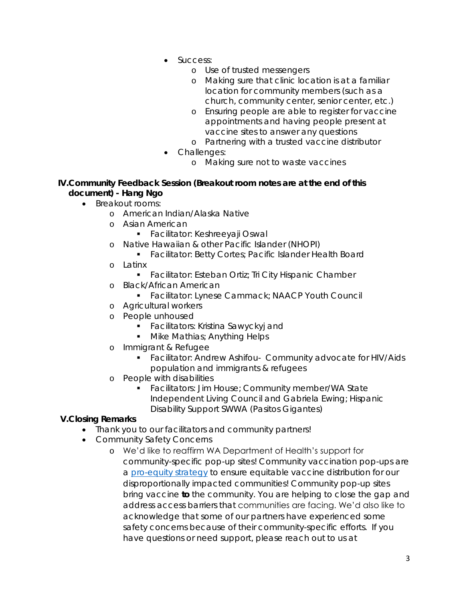- Success:
	- o Use of trusted messengers
	- o Making sure that clinic location is at a familiar location for community members (such as a church, community center, senior center, etc.)
	- o Ensuring people are able to register for vaccine appointments and having people present at vaccine sites to answer any questions
	- o Partnering with a trusted vaccine distributor
- Challenges:
	- o Making sure not to waste vaccines
- **IV.Community Feedback Session (Breakout room notes are at the end of this document) - Hang Ngo**
	- Breakout rooms:
		- o American Indian/Alaska Native
		- o Asian American
			- **Facilitator: Keshreeyaji Oswal**
		- o Native Hawaiian & other Pacific Islander (NHOPI)
			- **Facilitator: Betty Cortes; Pacific Islander Health Board**
		- o Latinx
			- **Facilitator: Esteban Ortiz; Tri City Hispanic Chamber**
		- o Black/African American
			- **Facilitator: Lynese Cammack; NAACP Youth Council**
		- o Agricultural workers
		- o People unhoused
			- **Facilitators: Kristina Sawyckyj and**
			- **Mike Mathias; Anything Helps**
		- o Immigrant & Refugee
			- Facilitator: Andrew Ashifou- Community advocate for HIV/Aids population and immigrants & refugees
		- o People with disabilities
			- **Facilitators: Jim House; Community member/WA State** Independent Living Council and Gabriela Ewing; Hispanic Disability Support SWWA (Pasitos Gigantes)

### **V.Closing Remarks**

- Thank you to our facilitators and community partners!
- Community Safety Concerns
	- o We'd like to reaffirm WA Department of Health's support for community-specific pop-up sites! Community vaccination pop-ups are a pro-equity strategy to ensure equitable vaccine distribution for our disproportionally impacted communities! Community pop-up sites bring vaccine *to* the community. You are helping to close the gap and address access barriers that communities are facing. We'd also like to acknowledge that some of our partners have experienced some safety concerns because of their community-specific efforts. If you have questions or need support, please reach out to us at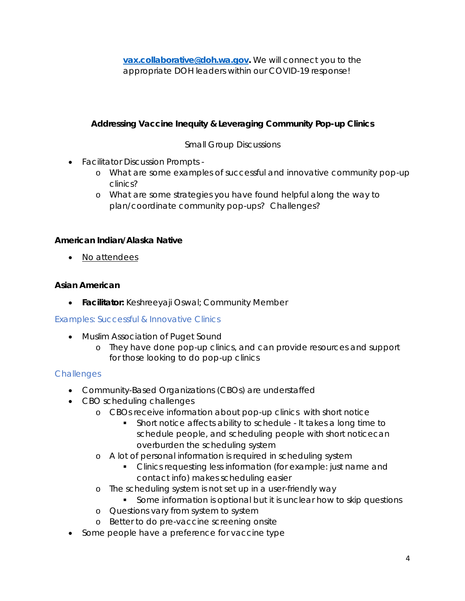**vax.collaborative@doh.wa.gov.** We will connect you to the appropriate DOH leaders within our COVID-19 response!

**Addressing Vaccine Inequity & Leveraging Community Pop-up Clinics**

## Small Group Discussions

- Facilitator Discussion Prompts
	- o What are some examples of successful and innovative community pop-up clinics?
	- o What are some strategies you have found helpful along the way to plan/coordinate community pop-ups? Challenges?

**American Indian/Alaska Native**

• No attendees

**Asian American** 

**Facilitator:** Keshreeyaji Oswal; Community Member

Examples: Successful & Innovative Clinics

- Muslim Association of Puget Sound
	- o They have done pop-up clinics, and can provide resources and support for those looking to do pop-up clinics

- Community-Based Organizations (CBOs) are understaffed
- CBO scheduling challenges
	- o CBOs receive information about pop-up clinics with short notice
		- Short notice affects ability to schedule It takes a long time to schedule people, and scheduling people with short noticecan overburden the scheduling system
	- o A lot of personal information is required in scheduling system
		- **Clinics requesting less information (for example: just name and** contact info) makes scheduling easier
	- o The scheduling system is not set up in a user-friendly way
		- **Some information is optional but it is unclear how to skip questions**
	- o Questions vary from system to system
	- o Better to do pre-vaccine screening onsite
- Some people have a preference for vaccine type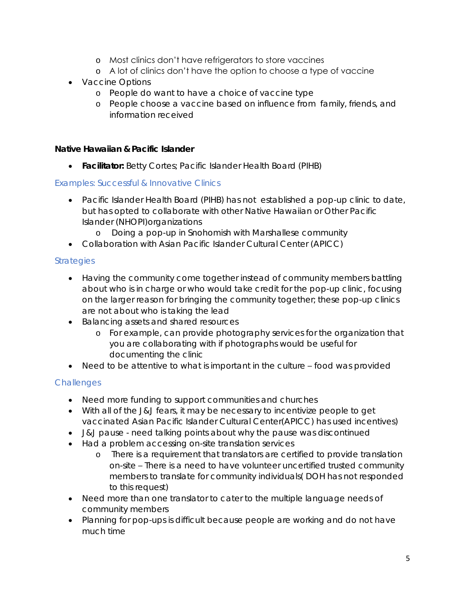- o Most clinics don't have refrigerators to store vaccines
- o A lot of clinics don't have the option to choose a type of vaccine
- Vaccine Options
	- o People do want to have a choice of vaccine type
	- o People choose a vaccine based on influence from family, friends, and information received

**Native Hawaiian & Pacific Islander**

**Facilitator:** Betty Cortes; Pacific Islander Health Board (PIHB)

### Examples: Successful & Innovative Clinics

- Pacific Islander Health Board (PIHB) has not established a pop-up clinic to date, but has opted to collaborate with other Native Hawaiian or Other Pacific Islander (NHOPI)organizations
	- o Doing a pop-up in Snohomish with Marshallese community
- Collaboration with Asian Pacific Islander Cultural Center (APICC)

## **Strategies**

- Having the community come together instead of community members battling about who is in charge or who would take credit for the pop-up clinic, focusing on the larger reason for bringing the community together; these pop-up clinics are not about who is taking the lead
- Balancing assets and shared resources
	- o For example, can provide photography services for the organization that you are collaborating with if photographs would be useful for documenting the clinic
- Need to be attentive to what is important in the culture food was provided

- Need more funding to support communities and churches
- With all of the J&J fears, it may be necessary to incentivize people to get vaccinated Asian Pacific Islander Cultural Center(APICC) has used incentives)
- J&J pause need talking points about why the pause was discontinued
- Had a problem accessing on-site translation services
	- o There is a requirement that translators are certified to provide translation on-site – There is a need to have volunteer uncertified trusted community members to translate for community individuals( DOH has not responded to this request)
- Need more than one translator to cater to the multiple language needs of community members
- Planning for pop-ups is difficult because people are working and do not have much time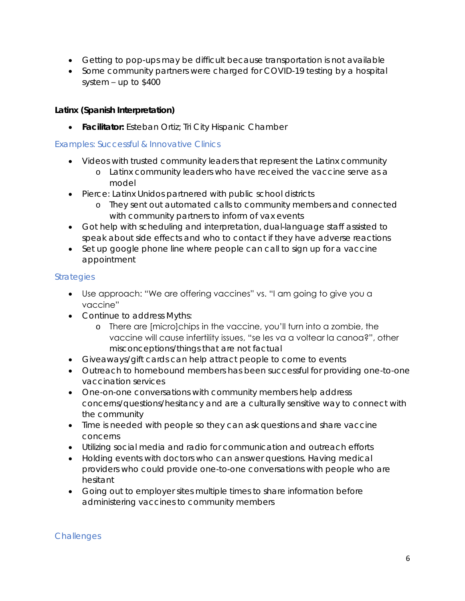- Getting to pop-ups may be difficult because transportation is not available
- Some community partners were charged for COVID-19 testing by a hospital system – up to \$400

**Latinx (Spanish Interpretation)**

**Facilitator:** Esteban Ortiz; Tri City Hispanic Chamber

#### Examples: Successful & Innovative Clinics

- Videos with trusted community leaders that represent the Latinx community
	- o Latinx community leaders who have received the vaccine serve as a model
- Pierce: Latinx Unidos partnered with public school districts
	- o They sent out automated calls to community members and connected with community partners to inform of vax events
- Got help with scheduling and interpretation, dual-language staff assisted to speak about side effects and who to contact if they have adverse reactions
- Set up google phone line where people can call to sign up for a vaccine appointment

### **Strategies**

- Use approach: "We are offering vaccines" vs. "I am going to give you a vaccine"
- Continue to address Myths:
	- o There are [micro]chips in the vaccine, you'll turn into a zombie, the vaccine will cause infertility issues, "se les va a voltear la canoa?", other misconceptions/things that are not factual
- Giveaways/gift cards can help attract people to come to events
- Outreach to homebound members has been successful for providing one-to-one vaccination services
- One-on-one conversations with community members help address concerns/questions/hesitancy and are a culturally sensitive way to connect with the community
- Time is needed with people so they can ask questions and share vaccine concerns
- Utilizing social media and radio for communication and outreach efforts
- Holding events with doctors who can answer questions. Having medical providers who could provide one-to-one conversations with people who are hesitant
- Going out to employer sites multiple times to share information before administering vaccines to community members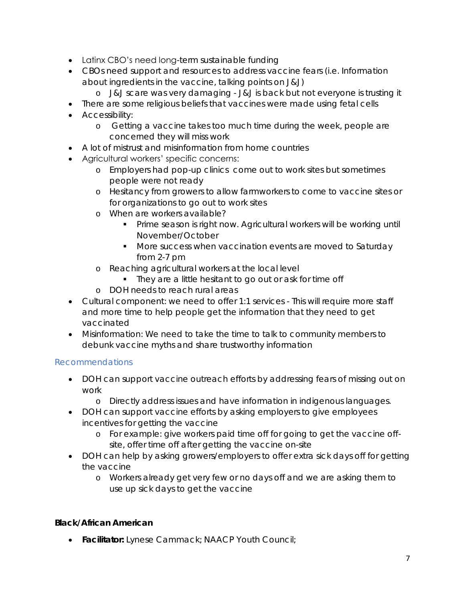- Latinx CBO's need long-term sustainable funding
- CBOs need support and resources to address vaccine fears (i.e. Information about ingredients in the vaccine, talking points on J&J)
	- o J&J scare was very damaging J&J is back but not everyone is trusting it
- There are some religious beliefs that vaccines were made using fetal cells
- **•** Accessibility:
	- o Getting a vaccine takes too much time during the week, people are concerned they will miss work
- A lot of mistrust and misinformation from home countries
- Agricultural workers' specific concerns:
	- o Employers had pop-up clinics come out to work sites but sometimes people were not ready
	- o Hesitancy from growers to allow farmworkers to come to vaccine sites or for organizations to go out to work sites
	- o When are workers available?
		- **•** Prime season is right now. Agricultural workers will be working until November/October
		- **More success when vaccination events are moved to Saturday** from 2-7 pm
	- o Reaching agricultural workers at the local level
		- They are a little hesitant to go out or ask for time off
	- o DOH needs to reach rural areas
- Cultural component: we need to offer 1:1 services This will require more staff and more time to help people get the information that they need to get vaccinated
- Misinformation: We need to take the time to talk to community members to debunk vaccine myths and share trustworthy information

# Recommendations

- DOH can support vaccine outreach efforts by addressing fears of missing out on work
	- o Directly address issues and have information in indigenous languages.
- DOH can support vaccine efforts by asking employers to give employees incentives for getting the vaccine
	- o For example: give workers paid time off for going to get the vaccine offsite, offer time off after getting the vaccine on-site
- DOH can help by asking growers/employers to offer extra sick days off for getting the vaccine
	- o Workers already get very few or no days off and we are asking them to use up sick days to get the vaccine

### **Black/African American**

**Facilitator:** Lynese Cammack; NAACP Youth Council;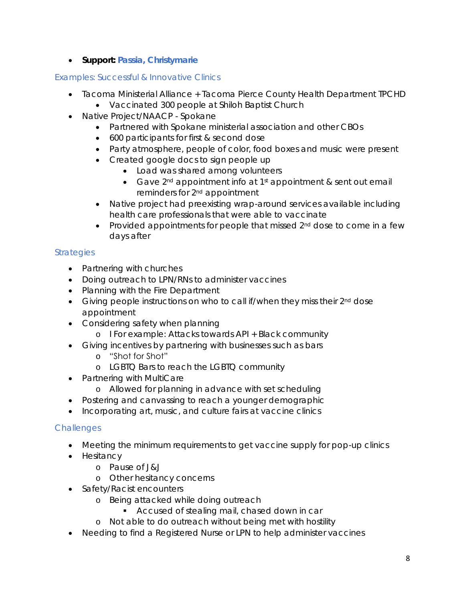**Support: Passia, Christymarie**

## Examples: Successful & Innovative Clinics

- Tacoma Ministerial Alliance + Tacoma Pierce County Health Department TPCHD
	- Vaccinated 300 people at Shiloh Baptist Church
- Native Project/NAACP Spokane
	- Partnered with Spokane ministerial association and other CBOs
	- 600 participants for first & second dose
	- Party atmosphere, people of color, food boxes and music were present
	- Created google docs to sign people up
		- Load was shared among volunteers
		- Gave  $2^{nd}$  appointment info at  $1^{st}$  appointment & sent out email reminders for 2nd appointment
	- Native project had preexisting wrap-around services available including health care professionals that were able to vaccinate
	- Provided appointments for people that missed  $2<sup>nd</sup>$  dose to come in a few days after

# **Strategies**

- Partnering with churches
- Doing outreach to LPN/RNs to administer vaccines
- Planning with the Fire Department
- Giving people instructions on who to call if/when they miss their 2<sup>nd</sup> dose appointment
- Considering safety when planning
	- o I For example: Attacks towards API + Black community
- Giving incentives by partnering with businesses such as bars
	- o "Shot for Shot"
	- o LGBTQ Bars to reach the LGBTQ community
- Partnering with MultiCare
	- o Allowed for planning in advance with set scheduling
- Postering and canvassing to reach a younger demographic
- Incorporating art, music, and culture fairs at vaccine clinics

- Meeting the minimum requirements to get vaccine supply for pop-up clinics
- Hesitancy
	- o Pause of J&J
	- o Other hesitancy concerns
- Safety/Racist encounters
	- o Being attacked while doing outreach
		- **Accused of stealing mail, chased down in car**
	- o Not able to do outreach without being met with hostility
- Needing to find a Registered Nurse or LPN to help administer vaccines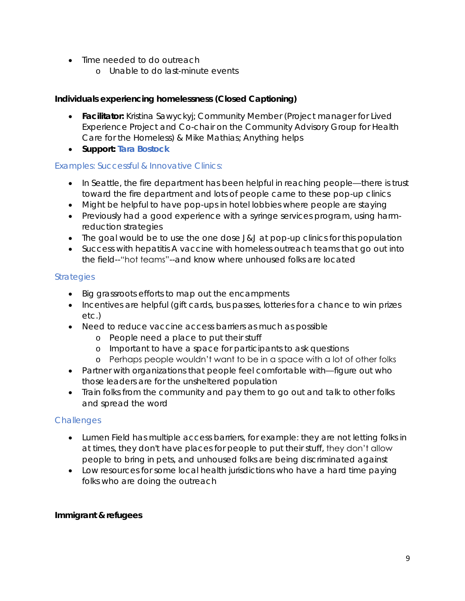- Time needed to do outreach
	- o Unable to do last-minute events

**Individuals experiencing homelessness (Closed Captioning)** 

- **Facilitator:** Kristina Sawyckyj; Community Member (Project manager for Lived Experience Project and Co-chair on the Community Advisory Group for Health Care for the Homeless) & Mike Mathias; Anything helps
- **Support: Tara Bostock**

#### Examples: Successful & Innovative Clinics:

- In Seattle, the fire department has been helpful in reaching people—there is trust toward the fire department and lots of people came to these pop-up clinics
- Might be helpful to have pop-ups in hotel lobbies where people are staying
- Previously had a good experience with a syringe services program, using harmreduction strategies
- The goal would be to use the one dose J&J at pop-up clinics for this population
- Success with hepatitis A vaccine with homeless outreach teams that go out into the field--"hot teams"--and know where unhoused folks are located

### **Strategies**

- Big grassroots efforts to map out the encampments
- Incentives are helpful (gift cards, bus passes, lotteries for a chance to win prizes etc.)
- Need to reduce vaccine access barriers as much as possible
	- o People need a place to put their stuff
	- o Important to have a space for participants to ask questions
	- o Perhaps people wouldn't want to be in a space with a lot of other folks
- Partner with organizations that people feel comfortable with—figure out who those leaders are for the unsheltered population
- Train folks from the community and pay them to go out and talk to other folks and spread the word

### **Challenges**

- Lumen Field has multiple access barriers, for example: they are not letting folks in at times, they don't have places for people to put their stuff, they don't allow people to bring in pets, and unhoused folks are being discriminated against
- Low resources for some local health jurisdictions who have a hard time paying folks who are doing the outreach

**Immigrant & refugees**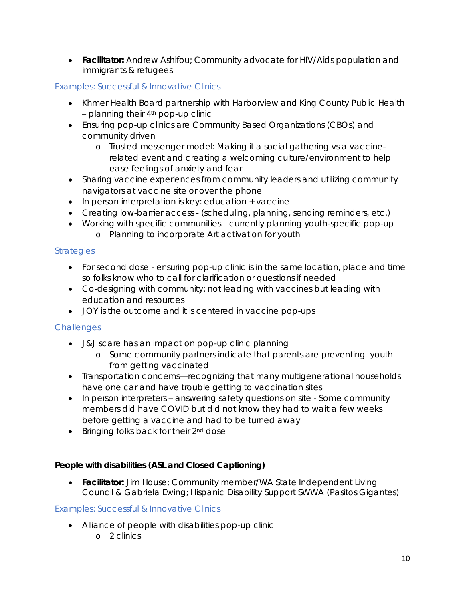**Facilitator:** Andrew Ashifou; Community advocate for HIV/Aids population and immigrants & refugees

## Examples: Successful & Innovative Clinics

- Khmer Health Board partnership with Harborview and King County Public Health  $-$  planning their  $4<sup>th</sup>$  pop-up clinic
- Ensuring pop-up clinics are Community Based Organizations (CBOs) and community driven
	- o Trusted messenger model: Making it a social gathering vs a vaccinerelated event and creating a welcoming culture/environment to help ease feelings of anxiety and fear
- Sharing vaccine experiences from community leaders and utilizing community navigators at vaccine site or over the phone
- In person interpretation is key: education + vaccine
- Creating low-barrier access (scheduling, planning, sending reminders, etc.)
- Working with specific communities—currently planning youth-specific pop-up o Planning to incorporate Art activation for youth

# **Strategies**

- For second dose ensuring pop-up clinic is in the same location, place and time so folks know who to call for clarification or questions if needed
- Co-designing with community; not leading with vaccines but leading with education and resources
- JOY is the outcome and it is centered in vaccine pop-ups

# **Challenges**

- J&J scare has an impact on pop-up clinic planning
	- o Some community partners indicate that parents are preventing youth from getting vaccinated
- Transportation concerns—recognizing that many multigenerational households have one car and have trouble getting to vaccination sites
- In person interpreters answering safety questions on site Some community members did have COVID but did not know they had to wait a few weeks before getting a vaccine and had to be turned away
- Bringing folks back for their 2<sup>nd</sup> dose

**People with disabilities (ASL and Closed Captioning)**

 **Facilitator:** Jim House; Community member/WA State Independent Living Council & Gabriela Ewing; Hispanic Disability Support SWWA (Pasitos Gigantes)

# Examples: Successful & Innovative Clinics

- Alliance of people with disabilities pop-up clinic
	- o 2 clinics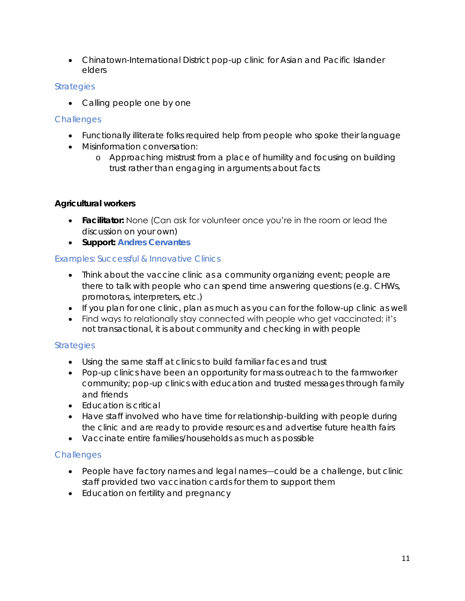Chinatown-International District pop-up clinic for Asian and Pacific Islander elders

### **Strategies**

• Calling people one by one

# **Challenges**

- Functionally illiterate folks required help from people who spoke their language
- Misinformation conversation:
	- o Approaching mistrust from a place of humility and focusing on building trust rather than engaging in arguments about facts

## **Agricultural workers**

- **Facilitator:** None (Can ask for volunteer once you're in the room or lead the discussion on your own)
- **Support: Andres Cervantes**

# Examples: Successful & Innovative Clinics

- Think about the vaccine clinic as a community organizing event; people are there to talk with people who can spend time answering questions (e.g. CHWs, promotoras, interpreters, etc.)
- If you plan for one clinic, plan as much as you can for the follow-up clinic as well
- Find ways to relationally stay connected with people who get vaccinated; it's not transactional, it is about community and checking in with people

# **Strategies**

- Using the same staff at clinics to build familiar faces and trust
- Pop-up clinics have been an opportunity for mass outreach to the farmworker community; pop-up clinics with education and trusted messages through family and friends
- Education is critical
- Have staff involved who have time for relationship-building with people during the clinic and are ready to provide resources and advertise future health fairs
- Vaccinate entire families/households as much as possible

- People have factory names and legal names—could be a challenge, but clinic staff provided two vaccination cards for them to support them
- Education on fertility and pregnancy